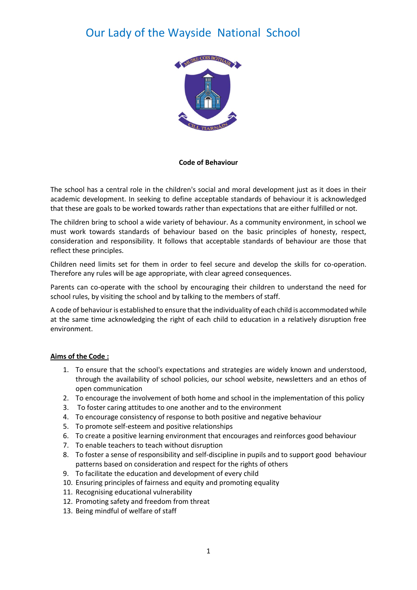

#### **Code of Behaviour**

The school has a central role in the children's social and moral development just as it does in their academic development. In seeking to define acceptable standards of behaviour it is acknowledged that these are goals to be worked towards rather than expectations that are either fulfilled or not.

The children bring to school a wide variety of behaviour. As a community environment, in school we must work towards standards of behaviour based on the basic principles of honesty, respect, consideration and responsibility. It follows that acceptable standards of behaviour are those that reflect these principles.

Children need limits set for them in order to feel secure and develop the skills for co-operation. Therefore any rules will be age appropriate, with clear agreed consequences.

Parents can co-operate with the school by encouraging their children to understand the need for school rules, by visiting the school and by talking to the members of staff.

A code of behaviour is established to ensure that the individuality of each child is accommodated while at the same time acknowledging the right of each child to education in a relatively disruption free environment.

### **Aims of the Code :**

- 1. To ensure that the school's expectations and strategies are widely known and understood, through the availability of school policies, our school website, newsletters and an ethos of open communication
- 2. To encourage the involvement of both home and school in the implementation of this policy
- 3. To foster caring attitudes to one another and to the environment
- 4. To encourage consistency of response to both positive and negative behaviour
- 5. To promote self-esteem and positive relationships
- 6. To create a positive learning environment that encourages and reinforces good behaviour
- 7. To enable teachers to teach without disruption
- 8. To foster a sense of responsibility and self-discipline in pupils and to support good behaviour patterns based on consideration and respect for the rights of others
- 9. To facilitate the education and development of every child
- 10. Ensuring principles of fairness and equity and promoting equality
- 11. Recognising educational vulnerability
- 12. Promoting safety and freedom from threat
- 13. Being mindful of welfare of staff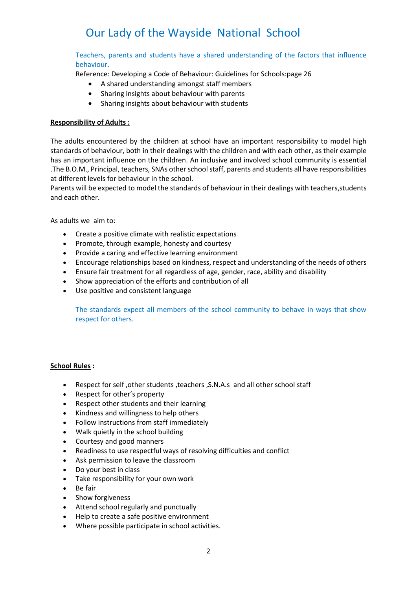Teachers, parents and students have a shared understanding of the factors that influence behaviour.

Reference: Developing a Code of Behaviour: Guidelines for Schools:page 26

- A shared understanding amongst staff members
- Sharing insights about behaviour with parents
- Sharing insights about behaviour with students

### **Responsibility of Adults :**

The adults encountered by the children at school have an important responsibility to model high standards of behaviour, both in their dealings with the children and with each other, as their example has an important influence on the children. An inclusive and involved school community is essential .The B.O.M., Principal, teachers, SNAs other school staff, parents and students all have responsibilities at different levels for behaviour in the school.

Parents will be expected to model the standards of behaviour in their dealings with teachers,students and each other.

As adults we aim to:

- Create a positive climate with realistic expectations
- Promote, through example, honesty and courtesy
- Provide a caring and effective learning environment
- Encourage relationships based on kindness, respect and understanding of the needs of others
- Ensure fair treatment for all regardless of age, gender, race, ability and disability
- Show appreciation of the efforts and contribution of all
- Use positive and consistent language

The standards expect all members of the school community to behave in ways that show respect for others.

### **School Rules :**

- Respect for self ,other students ,teachers ,S.N.A.s and all other school staff
- Respect for other's property
- Respect other students and their learning
- Kindness and willingness to help others
- Follow instructions from staff immediately
- Walk quietly in the school building
- Courtesy and good manners
- Readiness to use respectful ways of resolving difficulties and conflict
- Ask permission to leave the classroom
- Do your best in class
- Take responsibility for your own work
- Be fair
- Show forgiveness
- Attend school regularly and punctually
- Help to create a safe positive environment
- Where possible participate in school activities.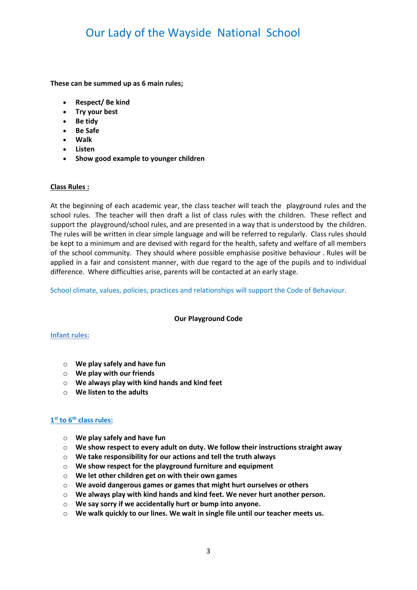**These can be summed up as 6 main rules;**

- **Respect/ Be kind**
- **Try your best**
- **Be tidy**
- **Be Safe**
- **Walk**
- **Listen**
- **Show good example to younger children**

#### **Class Rules :**

At the beginning of each academic year, the class teacher will teach the playground rules and the school rules. The teacher will then draft a list of class rules with the children. These reflect and support the playground/school rules, and are presented in a way that is understood by the children. The rules will be written in clear simple language and will be referred to regularly. Class rules should be kept to a minimum and are devised with regard for the health, safety and welfare of all members of the school community. They should where possible emphasise positive behaviour . Rules will be applied in a fair and consistent manner, with due regard to the age of the pupils and to individual difference. Where difficulties arise, parents will be contacted at an early stage.

School climate, values, policies, practices and relationships will support the Code of Behaviour.

#### **Our Playground Code**

#### **Infant rules:**

- o **We play safely and have fun**
- o **We play with our friends**
- o **We always play with kind hands and kind feet**
- o **We listen to the adults**

### **1 st to 6th class rules:**

- o **We play safely and have fun**
- o **We show respect to every adult on duty. We follow their instructions straight away**
- o **We take responsibility for our actions and tell the truth always**
- o **We show respect for the playground furniture and equipment**
- o **We let other children get on with their own games**
- o **We avoid dangerous games or games that might hurt ourselves or others**
- o **We always play with kind hands and kind feet. We never hurt another person.**
- o **We say sorry if we accidentally hurt or bump into anyone.**
- o **We walk quickly to our lines. We wait in single file until our teacher meets us.**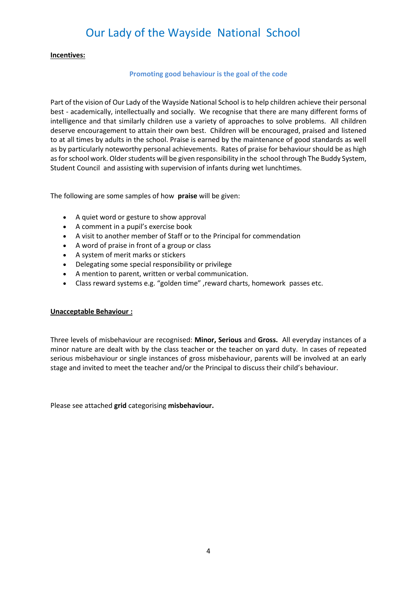#### **Incentives:**

#### **Promoting good behaviour is the goal of the code**

Part of the vision of Our Lady of the Wayside National School is to help children achieve their personal best - academically, intellectually and socially. We recognise that there are many different forms of intelligence and that similarly children use a variety of approaches to solve problems. All children deserve encouragement to attain their own best. Children will be encouraged, praised and listened to at all times by adults in the school. Praise is earned by the maintenance of good standards as well as by particularly noteworthy personal achievements. Rates of praise for behaviour should be as high as for school work. Older students will be given responsibility in the school through The Buddy System, Student Council and assisting with supervision of infants during wet lunchtimes.

The following are some samples of how **praise** will be given:

- A quiet word or gesture to show approval
- A comment in a pupil's exercise book
- A visit to another member of Staff or to the Principal for commendation
- A word of praise in front of a group or class
- A system of merit marks or stickers
- Delegating some special responsibility or privilege
- A mention to parent, written or verbal communication.
- Class reward systems e.g. "golden time" ,reward charts, homework passes etc.

#### **Unacceptable Behaviour :**

Three levels of misbehaviour are recognised: **Minor, Serious** and **Gross.** All everyday instances of a minor nature are dealt with by the class teacher or the teacher on yard duty. In cases of repeated serious misbehaviour or single instances of gross misbehaviour, parents will be involved at an early stage and invited to meet the teacher and/or the Principal to discuss their child's behaviour.

Please see attached **grid** categorising **misbehaviour.**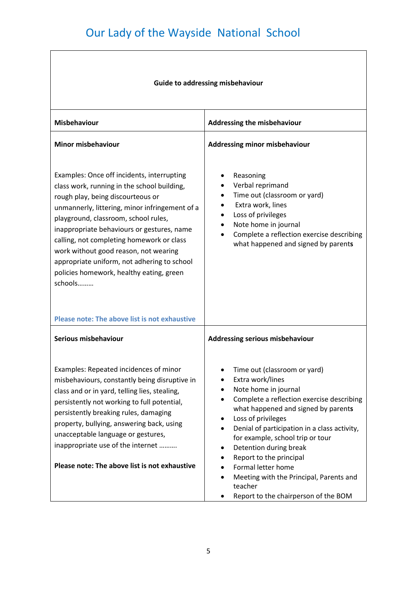$\overline{\phantom{a}}$ 

 $\sqrt{ }$ 

| <b>Guide to addressing misbehaviour</b>                                                                                                                                                                                                                                                                                                                                                                                                                            |                                                                                                                                                                                                                                                                                                                                                                                                                                                                                        |  |
|--------------------------------------------------------------------------------------------------------------------------------------------------------------------------------------------------------------------------------------------------------------------------------------------------------------------------------------------------------------------------------------------------------------------------------------------------------------------|----------------------------------------------------------------------------------------------------------------------------------------------------------------------------------------------------------------------------------------------------------------------------------------------------------------------------------------------------------------------------------------------------------------------------------------------------------------------------------------|--|
| <b>Misbehaviour</b>                                                                                                                                                                                                                                                                                                                                                                                                                                                | Addressing the misbehaviour                                                                                                                                                                                                                                                                                                                                                                                                                                                            |  |
| <b>Minor misbehaviour</b>                                                                                                                                                                                                                                                                                                                                                                                                                                          | <b>Addressing minor misbehaviour</b>                                                                                                                                                                                                                                                                                                                                                                                                                                                   |  |
| Examples: Once off incidents, interrupting<br>class work, running in the school building,<br>rough play, being discourteous or<br>unmannerly, littering, minor infringement of a<br>playground, classroom, school rules,<br>inappropriate behaviours or gestures, name<br>calling, not completing homework or class<br>work without good reason, not wearing<br>appropriate uniform, not adhering to school<br>policies homework, healthy eating, green<br>schools | Reasoning<br>Verbal reprimand<br>Time out (classroom or yard)<br>Extra work, lines<br>Loss of privileges<br>Note home in journal<br>Complete a reflection exercise describing<br>what happened and signed by parents                                                                                                                                                                                                                                                                   |  |
| Please note: The above list is not exhaustive                                                                                                                                                                                                                                                                                                                                                                                                                      |                                                                                                                                                                                                                                                                                                                                                                                                                                                                                        |  |
| Serious misbehaviour                                                                                                                                                                                                                                                                                                                                                                                                                                               | <b>Addressing serious misbehaviour</b>                                                                                                                                                                                                                                                                                                                                                                                                                                                 |  |
| Examples: Repeated incidences of minor<br>misbehaviours, constantly being disruptive in<br>class and or in yard, telling lies, stealing,<br>persistently not working to full potential,<br>persistently breaking rules, damaging<br>property, bullying, answering back, using<br>unacceptable language or gestures,<br>inappropriate use of the internet<br>Please note: The above list is not exhaustive                                                          | Time out (classroom or yard)<br>Extra work/lines<br>$\bullet$<br>Note home in journal<br>Complete a reflection exercise describing<br>what happened and signed by parents<br>Loss of privileges<br>$\bullet$<br>Denial of participation in a class activity,<br>for example, school trip or tour<br>Detention during break<br>Report to the principal<br>Formal letter home<br>Meeting with the Principal, Parents and<br>$\bullet$<br>teacher<br>Report to the chairperson of the BOM |  |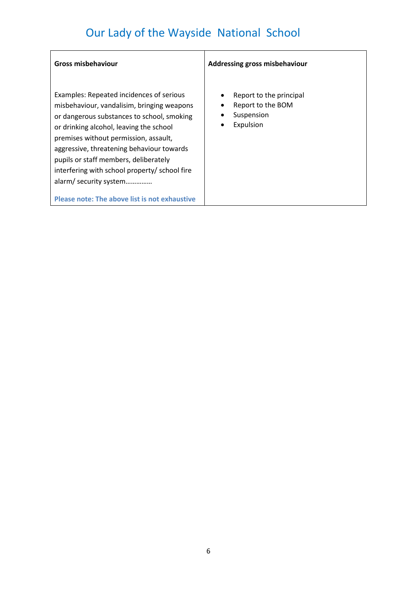| Examples: Repeated incidences of serious<br>$\bullet$<br>misbehaviour, vandalisim, bringing weapons<br>٠<br>or dangerous substances to school, smoking<br>٠<br>or drinking alcohol, leaving the school<br>premises without permission, assault,<br>aggressive, threatening behaviour towards<br>pupils or staff members, deliberately<br>interfering with school property/ school fire<br>alarm/ security system<br>Please note: The above list is not exhaustive | Report to the principal<br>Report to the BOM<br>Suspension<br>Expulsion |
|-------------------------------------------------------------------------------------------------------------------------------------------------------------------------------------------------------------------------------------------------------------------------------------------------------------------------------------------------------------------------------------------------------------------------------------------------------------------|-------------------------------------------------------------------------|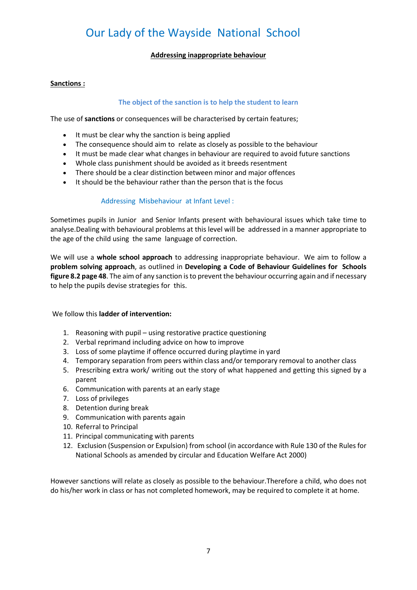# **Addressing inappropriate behaviour**

### **Sanctions :**

# **The object of the sanction is to help the student to learn**

The use of **sanctions** or consequences will be characterised by certain features;

- It must be clear why the sanction is being applied
- The consequence should aim to relate as closely as possible to the behaviour
- It must be made clear what changes in behaviour are required to avoid future sanctions
- Whole class punishment should be avoided as it breeds resentment
- There should be a clear distinction between minor and major offences
- It should be the behaviour rather than the person that is the focus

# Addressing Misbehaviour at Infant Level :

Sometimes pupils in Junior and Senior Infants present with behavioural issues which take time to analyse.Dealing with behavioural problems at this level will be addressed in a manner appropriate to the age of the child using the same language of correction.

We will use a **whole school approach** to addressing inappropriate behaviour. We aim to follow a **problem solving approach**, as outlined in **Developing a Code of Behaviour Guidelines for Schools figure 8.2 page 48**. The aim of any sanction is to prevent the behaviour occurring again and if necessary to help the pupils devise strategies for this.

We follow this **ladder of intervention:**

- 1. Reasoning with pupil using restorative practice questioning
- 2. Verbal reprimand including advice on how to improve
- 3. Loss of some playtime if offence occurred during playtime in yard
- 4. Temporary separation from peers within class and/or temporary removal to another class
- 5. Prescribing extra work/ writing out the story of what happened and getting this signed by a parent
- 6. Communication with parents at an early stage
- 7. Loss of privileges
- 8. Detention during break
- 9. Communication with parents again
- 10. Referral to Principal
- 11. Principal communicating with parents
- 12. Exclusion (Suspension or Expulsion) from school (in accordance with Rule 130 of the Rules for National Schools as amended by circular and Education Welfare Act 2000)

However sanctions will relate as closely as possible to the behaviour.Therefore a child, who does not do his/her work in class or has not completed homework, may be required to complete it at home.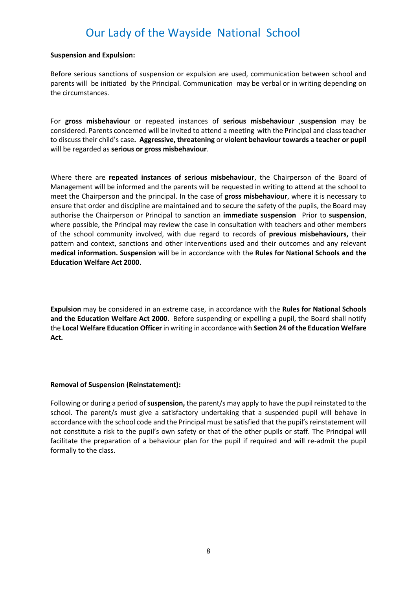#### **Suspension and Expulsion:**

Before serious sanctions of suspension or expulsion are used, communication between school and parents will be initiated by the Principal. Communication may be verbal or in writing depending on the circumstances.

For **gross misbehaviour** or repeated instances of **serious misbehaviour** ,**suspension** may be considered. Parents concerned will be invited to attend a meeting with the Principal and class teacher to discuss their child's case**. Aggressive, threatening** or **violent behaviour towards a teacher or pupil** will be regarded as **serious or gross misbehaviour**.

Where there are **repeated instances of serious misbehaviour**, the Chairperson of the Board of Management will be informed and the parents will be requested in writing to attend at the school to meet the Chairperson and the principal. In the case of **gross misbehaviour**, where it is necessary to ensure that order and discipline are maintained and to secure the safety of the pupils, the Board may authorise the Chairperson or Principal to sanction an **immediate suspension** Prior to **suspension**, where possible, the Principal may review the case in consultation with teachers and other members of the school community involved, with due regard to records of **previous misbehaviours,** their pattern and context, sanctions and other interventions used and their outcomes and any relevant **medical information. Suspension** will be in accordance with the **Rules for National Schools and the Education Welfare Act 2000**.

**Expulsion** may be considered in an extreme case, in accordance with the **Rules for National Schools and the Education Welfare Act 2000**. Before suspending or expelling a pupil, the Board shall notify the **Local Welfare Education Officer** in writing in accordance with **Section 24 of the Education Welfare Act.**

### **Removal of Suspension (Reinstatement):**

Following or during a period of **suspension,** the parent/s may apply to have the pupil reinstated to the school. The parent/s must give a satisfactory undertaking that a suspended pupil will behave in accordance with the school code and the Principal must be satisfied that the pupil's reinstatement will not constitute a risk to the pupil's own safety or that of the other pupils or staff. The Principal will facilitate the preparation of a behaviour plan for the pupil if required and will re-admit the pupil formally to the class.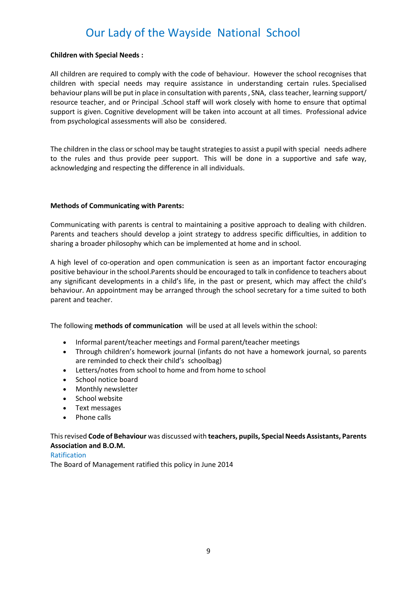### **Children with Special Needs :**

All children are required to comply with the code of behaviour. However the school recognises that children with special needs may require assistance in understanding certain rules. Specialised behaviour plans will be put in place in consultation with parents, SNA, class teacher, learning support/ resource teacher, and or Principal .School staff will work closely with home to ensure that optimal support is given. Cognitive development will be taken into account at all times. Professional advice from psychological assessments will also be considered.

The children in the class or school may be taught strategies to assist a pupil with special needs adhere to the rules and thus provide peer support. This will be done in a supportive and safe way, acknowledging and respecting the difference in all individuals.

# **Methods of Communicating with Parents:**

Communicating with parents is central to maintaining a positive approach to dealing with children. Parents and teachers should develop a joint strategy to address specific difficulties, in addition to sharing a broader philosophy which can be implemented at home and in school.

A high level of co-operation and open communication is seen as an important factor encouraging positive behaviour in the school.Parents should be encouraged to talk in confidence to teachers about any significant developments in a child's life, in the past or present, which may affect the child's behaviour. An appointment may be arranged through the school secretary for a time suited to both parent and teacher.

The following **methods of communication** will be used at all levels within the school:

- Informal parent/teacher meetings and Formal parent/teacher meetings
- Through children's homework journal (infants do not have a homework journal, so parents are reminded to check their child's schoolbag)
- Letters/notes from school to home and from home to school
- School notice board
- Monthly newsletter
- School website
- Text messages
- Phone calls

# This revised **Code of Behaviour** was discussed with **teachers, pupils, Special Needs Assistants, Parents Association and B.O.M.**

### Ratification

The Board of Management ratified this policy in June 2014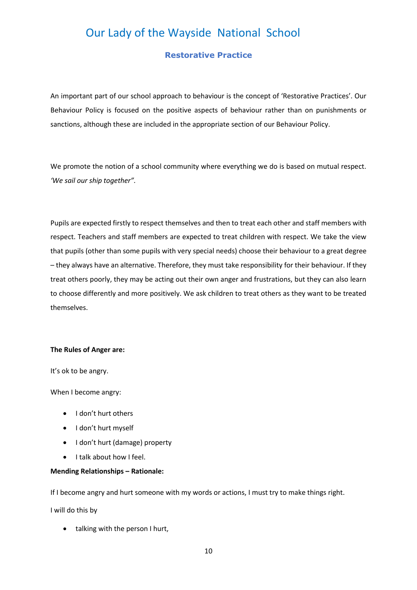# **Restorative Practice**

An important part of our school approach to behaviour is the concept of 'Restorative Practices'. Our Behaviour Policy is focused on the positive aspects of behaviour rather than on punishments or sanctions, although these are included in the appropriate section of our Behaviour Policy.

We promote the notion of a school community where everything we do is based on mutual respect. *'We sail our ship together".* 

Pupils are expected firstly to respect themselves and then to treat each other and staff members with respect. Teachers and staff members are expected to treat children with respect. We take the view that pupils (other than some pupils with very special needs) choose their behaviour to a great degree – they always have an alternative. Therefore, they must take responsibility for their behaviour. If they treat others poorly, they may be acting out their own anger and frustrations, but they can also learn to choose differently and more positively. We ask children to treat others as they want to be treated themselves.

#### **The Rules of Anger are:**

It's ok to be angry.

When I become angry:

- I don't hurt others
- I don't hurt myself
- I don't hurt (damage) property
- I talk about how I feel.

# **Mending Relationships – Rationale:**

If I become angry and hurt someone with my words or actions, I must try to make things right.

I will do this by

• talking with the person I hurt,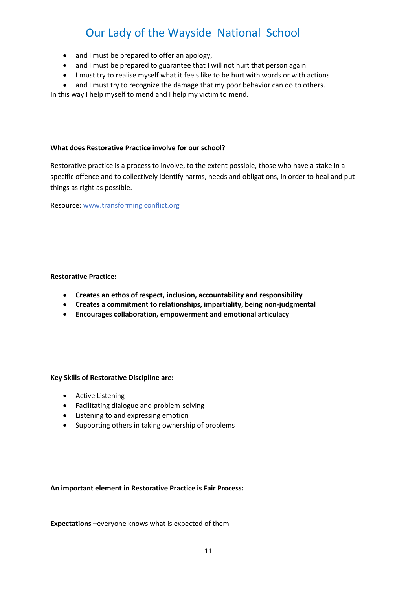- and I must be prepared to offer an apology,
- and I must be prepared to guarantee that I will not hurt that person again.
- I must try to realise myself what it feels like to be hurt with words or with actions
- and I must try to recognize the damage that my poor behavior can do to others.

In this way I help myself to mend and I help my victim to mend.

### **What does Restorative Practice involve for our school?**

Restorative practice is a process to involve, to the extent possible, those who have a stake in a specific offence and to collectively identify harms, needs and obligations, in order to heal and put things as right as possible.

Resource[: www.transforming](http://www.transforming/) conflict.org

### **Restorative Practice:**

- **Creates an ethos of respect, inclusion, accountability and responsibility**
- **Creates a commitment to relationships, impartiality, being non-judgmental**
- **Encourages collaboration, empowerment and emotional articulacy**

### **Key Skills of Restorative Discipline are:**

- Active Listening
- Facilitating dialogue and problem-solving
- Listening to and expressing emotion
- Supporting others in taking ownership of problems

### **An important element in Restorative Practice is Fair Process:**

**Expectations –**everyone knows what is expected of them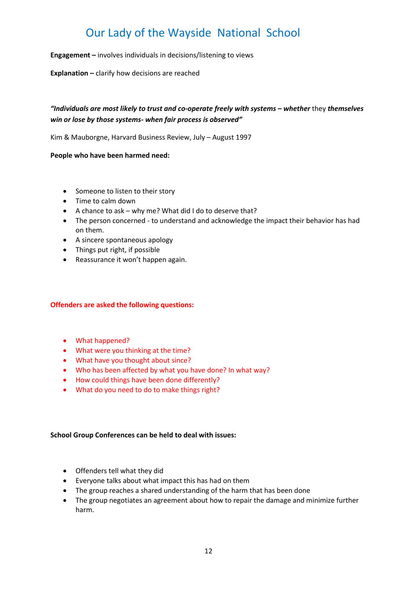**Engagement –** involves individuals in decisions/listening to views

**Explanation –** clarify how decisions are reached

# *"Individuals are most likely to trust and co-operate freely with systems – whether* they *themselves win or lose by those systems- when fair process is observed"*

Kim & Mauborgne, Harvard Business Review, July – August 1997

**People who have been harmed need:**

- Someone to listen to their story
- Time to calm down
- A chance to ask why me? What did I do to deserve that?
- The person concerned to understand and acknowledge the impact their behavior has had on them.
- A sincere spontaneous apology
- Things put right, if possible
- Reassurance it won't happen again.

### **Offenders are asked the following questions:**

- What happened?
- What were you thinking at the time?
- What have you thought about since?
- Who has been affected by what you have done? In what way?
- How could things have been done differently?
- What do you need to do to make things right?

### **School Group Conferences can be held to deal with issues:**

- Offenders tell what they did
- Everyone talks about what impact this has had on them
- The group reaches a shared understanding of the harm that has been done
- The group negotiates an agreement about how to repair the damage and minimize further harm.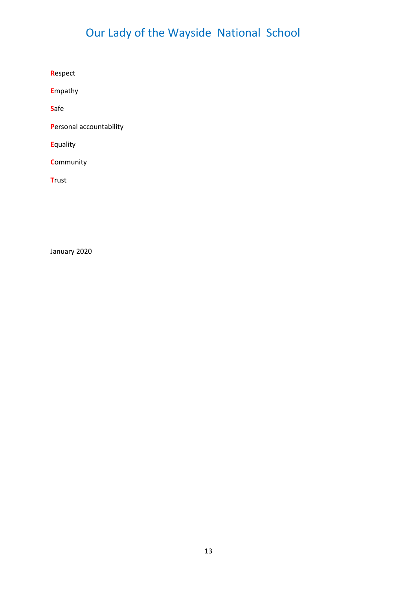**R**espect

**E**mpathy

**S**afe

**P**ersonal accountability

**E**quality

**C**ommunity

**T**rust

January 2020